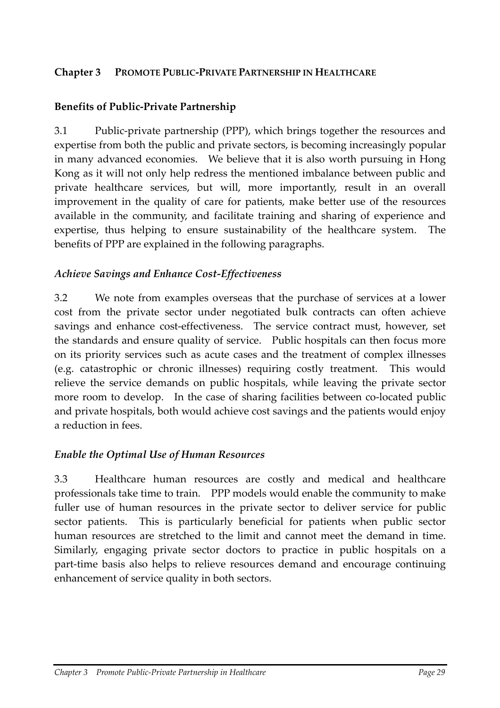#### **Chapter 3 PROMOTE PUBLIC‐PRIVATE PARTNERSHIP IN HEALTHCARE**

#### **Benefits of Public‐Private Partnership**

3.1 Public‐private partnership (PPP), which brings together the resources and expertise from both the public and private sectors, is becoming increasingly popular in many advanced economies. We believe that it is also worth pursuing in Hong Kong as it will not only help redress the mentioned imbalance between public and private healthcare services, but will, more importantly, result in an overall improvement in the quality of care for patients, make better use of the resources available in the community, and facilitate training and sharing of experience and expertise, thus helping to ensure sustainability of the healthcare system. The benefits of PPP are explained in the following paragraphs.

#### *Achieve Savings and Enhance Cost‐Effectiveness*

3.2 We note from examples overseas that the purchase of services at a lower cost from the private sector under negotiated bulk contracts can often achieve savings and enhance cost-effectiveness. The service contract must, however, set the standards and ensure quality of service. Public hospitals can then focus more on its priority services such as acute cases and the treatment of complex illnesses (e.g. catastrophic or chronic illnesses) requiring costly treatment. This would relieve the service demands on public hospitals, while leaving the private sector more room to develop. In the case of sharing facilities between co-located public and private hospitals, both would achieve cost savings and the patients would enjoy a reduction in fees.

#### *Enable the Optimal Use of Human Resources*

3.3 Healthcare human resources are costly and medical and healthcare professionals take time to train. PPP models would enable the community to make fuller use of human resources in the private sector to deliver service for public sector patients. This is particularly beneficial for patients when public sector human resources are stretched to the limit and cannot meet the demand in time. Similarly, engaging private sector doctors to practice in public hospitals on a part‐time basis also helps to relieve resources demand and encourage continuing enhancement of service quality in both sectors.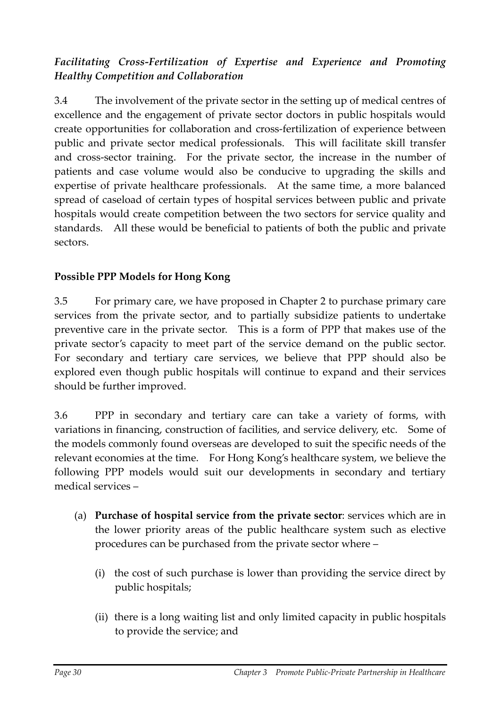# *Facilitating Cross‐Fertilization of Expertise and Experience and Promoting Healthy Competition and Collaboration*

3.4 The involvement of the private sector in the setting up of medical centres of excellence and the engagement of private sector doctors in public hospitals would create opportunities for collaboration and cross‐fertilization of experience between public and private sector medical professionals. This will facilitate skill transfer and cross-sector training. For the private sector, the increase in the number of patients and case volume would also be conducive to upgrading the skills and expertise of private healthcare professionals. At the same time, a more balanced spread of caseload of certain types of hospital services between public and private hospitals would create competition between the two sectors for service quality and standards. All these would be beneficial to patients of both the public and private sectors.

## **Possible PPP Models for Hong Kong**

3.5 For primary care, we have proposed in Chapter 2 to purchase primary care services from the private sector, and to partially subsidize patients to undertake preventive care in the private sector. This is a form of PPP that makes use of the private sector's capacity to meet part of the service demand on the public sector. For secondary and tertiary care services, we believe that PPP should also be explored even though public hospitals will continue to expand and their services should be further improved.

3.6 PPP in secondary and tertiary care can take a variety of forms, with variations in financing, construction of facilities, and service delivery, etc. Some of the models commonly found overseas are developed to suit the specific needs of the relevant economies at the time. For Hong Kong's healthcare system, we believe the following PPP models would suit our developments in secondary and tertiary medical services –

- (a) **Purchase of hospital service from the private sector**: services which are in the lower priority areas of the public healthcare system such as elective procedures can be purchased from the private sector where –
	- (i) the cost of such purchase is lower than providing the service direct by public hospitals;
	- (ii) there is a long waiting list and only limited capacity in public hospitals to provide the service; and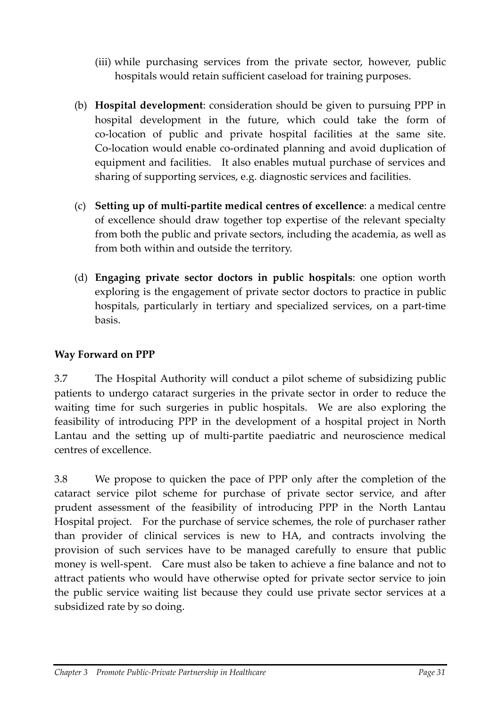- (iii) while purchasing services from the private sector, however, public hospitals would retain sufficient caseload for training purposes.
- (b) **Hospital development**: consideration should be given to pursuing PPP in hospital development in the future, which could take the form of co‐location of public and private hospital facilities at the same site. Co‐location would enable co‐ordinated planning and avoid duplication of equipment and facilities. It also enables mutual purchase of services and sharing of supporting services, e.g. diagnostic services and facilities.
- (c) **Setting up of multi‐partite medical centres of excellence**: a medical centre of excellence should draw together top expertise of the relevant specialty from both the public and private sectors, including the academia, as well as from both within and outside the territory.
- (d) **Engaging private sector doctors in public hospitals**: one option worth exploring is the engagement of private sector doctors to practice in public hospitals, particularly in tertiary and specialized services, on a part-time basis.

### **Way Forward on PPP**

3.7 The Hospital Authority will conduct a pilot scheme of subsidizing public patients to undergo cataract surgeries in the private sector in order to reduce the waiting time for such surgeries in public hospitals. We are also exploring the feasibility of introducing PPP in the development of a hospital project in North Lantau and the setting up of multi-partite paediatric and neuroscience medical centres of excellence.

3.8 We propose to quicken the pace of PPP only after the completion of the cataract service pilot scheme for purchase of private sector service, and after prudent assessment of the feasibility of introducing PPP in the North Lantau Hospital project. For the purchase of service schemes, the role of purchaser rather than provider of clinical services is new to HA, and contracts involving the provision of such services have to be managed carefully to ensure that public money is well-spent. Care must also be taken to achieve a fine balance and not to attract patients who would have otherwise opted for private sector service to join the public service waiting list because they could use private sector services at a subsidized rate by so doing.